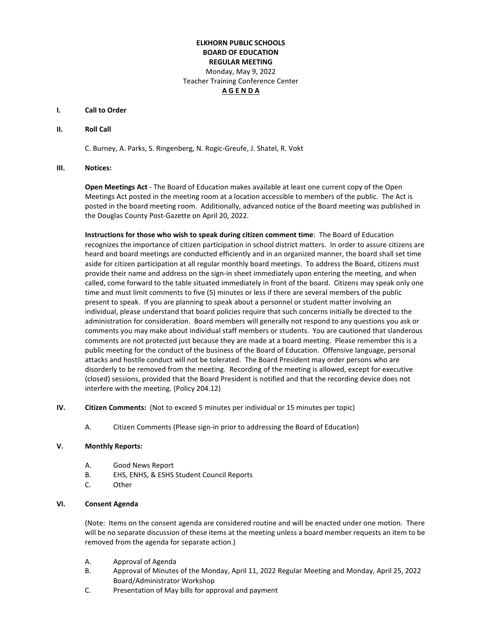# **ELKHORN PUBLIC SCHOOLS BOARD OF EDUCATION REGULAR MEETING**  Monday, May 9, 2022 Teacher Training Conference Center **A G E N D A**

#### **I. Call to Order**

#### **II. Roll Call**

C. Burney, A. Parks, S. Ringenberg, N. Rogic-Greufe, J. Shatel, R. Vokt

#### **III. Notices:**

**Open Meetings Act** - The Board of Education makes available at least one current copy of the Open Meetings Act posted in the meeting room at a location accessible to members of the public. The Act is posted in the board meeting room. Additionally, advanced notice of the Board meeting was published in the Douglas County Post-Gazette on April 20, 2022.

**Instructions for those who wish to speak during citizen comment time**: The Board of Education recognizes the importance of citizen participation in school district matters. In order to assure citizens are heard and board meetings are conducted efficiently and in an organized manner, the board shall set time aside for citizen participation at all regular monthly board meetings. To address the Board, citizens must provide their name and address on the sign-in sheet immediately upon entering the meeting, and when called, come forward to the table situated immediately in front of the board. Citizens may speak only one time and must limit comments to five (5) minutes or less if there are several members of the public present to speak. If you are planning to speak about a personnel or student matter involving an individual, please understand that board policies require that such concerns initially be directed to the administration for consideration. Board members will generally not respond to any questions you ask or comments you may make about individual staff members or students. You are cautioned that slanderous comments are not protected just because they are made at a board meeting. Please remember this is a public meeting for the conduct of the business of the Board of Education. Offensive language, personal attacks and hostile conduct will not be tolerated. The Board President may order persons who are disorderly to be removed from the meeting. Recording of the meeting is allowed, except for executive (closed) sessions, provided that the Board President is notified and that the recording device does not interfere with the meeting. (Policy 204.12)

- **IV. Citizen Comments:** (Not to exceed 5 minutes per individual or 15 minutes per topic)
	- A. Citizen Comments (Please sign-in prior to addressing the Board of Education)

### **V. Monthly Reports:**

- A. Good News Report
- B. EHS, ENHS, & ESHS Student Council Reports
- C. Other

## **VI. Consent Agenda**

(Note: Items on the consent agenda are considered routine and will be enacted under one motion. There will be no separate discussion of these items at the meeting unless a board member requests an item to be removed from the agenda for separate action.)

- A. Approval of Agenda
- B. Approval of Minutes of the Monday, April 11, 2022 Regular Meeting and Monday, April 25, 2022 Board/Administrator Workshop
- C. Presentation of May bills for approval and payment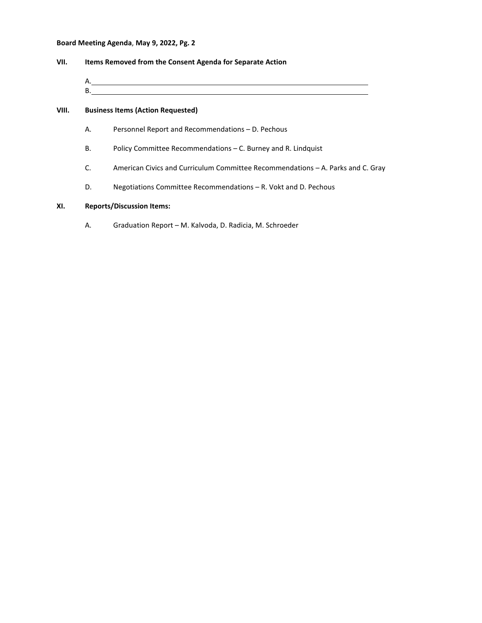## **Board Meeting Agenda**, **May 9, 2022, Pg. 2**

| VII. | Items Removed from the Consent Agenda for Separate Action |
|------|-----------------------------------------------------------|
|      | Α.                                                        |
|      | B                                                         |
|      |                                                           |

## **VIII. Business Items (Action Requested)**

- A. Personnel Report and Recommendations D. Pechous
- B. Policy Committee Recommendations C. Burney and R. Lindquist
- C. American Civics and Curriculum Committee Recommendations A. Parks and C. Gray
- D. Negotiations Committee Recommendations R. Vokt and D. Pechous

# **XI. Reports/Discussion Items:**

A. Graduation Report – M. Kalvoda, D. Radicia, M. Schroeder